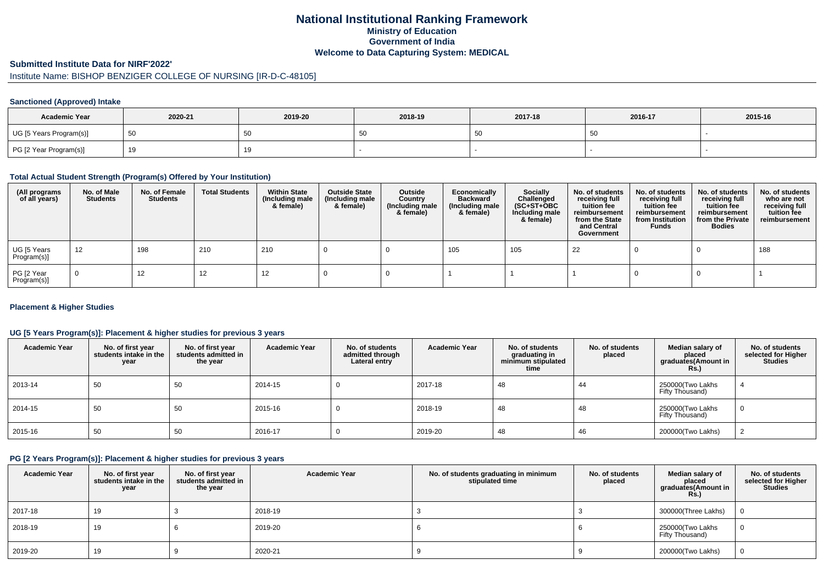# **National Institutional Ranking FrameworkMinistry of Education Government of IndiaWelcome to Data Capturing System: MEDICAL**

### **Submitted Institute Data for NIRF'2022'**

# Institute Name: BISHOP BENZIGER COLLEGE OF NURSING [IR-D-C-48105]

### **Sanctioned (Approved) Intake**

| <b>Academic Year</b>    | 2020-21 | 2019-20 | 2018-19                             | 2017-18 | 2016-17 | 2015-16 |
|-------------------------|---------|---------|-------------------------------------|---------|---------|---------|
| UG [5 Years Program(s)] | -50     | 50      | $\overline{\phantom{0}}$<br><br>ັບເ |         | vu      |         |
| PG [2 Year Program(s)]  | 19      | 19      |                                     |         |         |         |

### **Total Actual Student Strength (Program(s) Offered by Your Institution)**

| (All programs<br>of all years) | No. of Male<br><b>Students</b> | No. of Female<br>Students | <b>Total Students</b> | <b>Within State</b><br>(Including male<br>& female) | <b>Outside State</b><br>(Including male<br>& female) | Outside<br>Country<br>(Including male<br>& female) | Economically<br><b>Backward</b><br>(Including male<br>& female) | <b>Socially</b><br>Challenged<br>$(SC+ST+OBC)$<br>Including male<br>& female) | No. of students<br>receiving full<br>tuition fee<br>reimbursement<br>from the State<br>and Central<br>Government | No. of students<br>receiving full<br>tuition fee<br>reimbursement<br>from Institution<br><b>Funds</b> | No. of students<br>receiving full<br>tuition fee<br>reimbursement<br>from the Private<br><b>Bodies</b> | No. of students<br>who are not<br>receiving full<br>tuition fee<br>reimbursement |
|--------------------------------|--------------------------------|---------------------------|-----------------------|-----------------------------------------------------|------------------------------------------------------|----------------------------------------------------|-----------------------------------------------------------------|-------------------------------------------------------------------------------|------------------------------------------------------------------------------------------------------------------|-------------------------------------------------------------------------------------------------------|--------------------------------------------------------------------------------------------------------|----------------------------------------------------------------------------------|
| UG [5 Years<br>Program(s)]     | 12                             | 198                       | 210                   | 210                                                 |                                                      |                                                    | 105                                                             | 105                                                                           | 22                                                                                                               |                                                                                                       |                                                                                                        | 188                                                                              |
| PG [2 Year<br>Program(s)]      | $\Omega$                       | 12                        | 12                    | 12                                                  |                                                      |                                                    |                                                                 |                                                                               |                                                                                                                  |                                                                                                       |                                                                                                        |                                                                                  |

### **Placement & Higher Studies**

### **UG [5 Years Program(s)]: Placement & higher studies for previous 3 years**

| <b>Academic Year</b> | No. of first year<br>students intake in the<br>year | No. of first year<br>students admitted in<br>the year | <b>Academic Year</b> | No. of students<br>admitted through<br>Lateral entry | <b>Academic Year</b> | No. of students<br>graduating in<br>minimum stipulated<br>time | No. of students<br>placed | Median salary of<br>placed<br>graduates(Amount in<br><b>Rs.</b> ) | No. of students<br>selected for Higher<br><b>Studies</b> |
|----------------------|-----------------------------------------------------|-------------------------------------------------------|----------------------|------------------------------------------------------|----------------------|----------------------------------------------------------------|---------------------------|-------------------------------------------------------------------|----------------------------------------------------------|
| 2013-14              | 50                                                  | 50                                                    | 2014-15              | υ                                                    | 2017-18              | 48                                                             | 44                        | 250000(Two Lakhs<br>Fifty Thousand)                               |                                                          |
| 2014-15              | 50                                                  | 50                                                    | 2015-16              | υ                                                    | 2018-19              | 48                                                             | 48                        | 250000(Two Lakhs<br>Fifty Thousand)                               | $\mathbf{0}$                                             |
| 2015-16              | 50                                                  | 50                                                    | 2016-17              | υ                                                    | 2019-20              | 48                                                             | 46                        | 200000(Two Lakhs)                                                 |                                                          |

### **PG [2 Years Program(s)]: Placement & higher studies for previous 3 years**

| <b>Academic Year</b> | No. of first year<br>students intake in the<br>year | No. of first year<br>students admitted in<br>the year | <b>Academic Year</b> | No. of students graduating in minimum<br>stipulated time | No. of students<br>placed | Median salary of<br>placed<br>graduates(Amount in<br>Rs. | No. of students<br>selected for Higher<br><b>Studies</b> |
|----------------------|-----------------------------------------------------|-------------------------------------------------------|----------------------|----------------------------------------------------------|---------------------------|----------------------------------------------------------|----------------------------------------------------------|
| 2017-18              | 19                                                  |                                                       | 2018-19              |                                                          |                           | 300000(Three Lakhs)                                      |                                                          |
| 2018-19              | 19                                                  |                                                       | 2019-20              |                                                          |                           | 250000(Two Lakhs<br>Fifty Thousand)                      |                                                          |
| 2019-20              | 19                                                  |                                                       | 2020-21              |                                                          |                           | 200000(Two Lakhs)                                        | $\Omega$                                                 |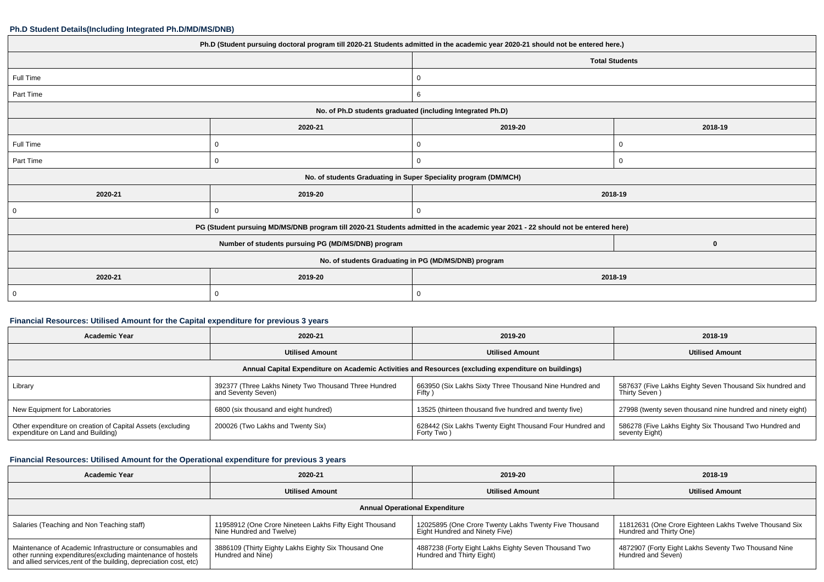#### **Ph.D Student Details(Including Integrated Ph.D/MD/MS/DNB)**

|                                                                                                                                  | Ph.D (Student pursuing doctoral program till 2020-21 Students admitted in the academic year 2020-21 should not be entered here.) |                                                                 |         |  |
|----------------------------------------------------------------------------------------------------------------------------------|----------------------------------------------------------------------------------------------------------------------------------|-----------------------------------------------------------------|---------|--|
|                                                                                                                                  |                                                                                                                                  | <b>Total Students</b>                                           |         |  |
| Full Time                                                                                                                        |                                                                                                                                  | 0                                                               |         |  |
| Part Time                                                                                                                        |                                                                                                                                  | 6                                                               |         |  |
|                                                                                                                                  |                                                                                                                                  | No. of Ph.D students graduated (including Integrated Ph.D)      |         |  |
|                                                                                                                                  | 2020-21                                                                                                                          | 2019-20                                                         | 2018-19 |  |
| Full Time                                                                                                                        | 0                                                                                                                                | 0                                                               | 0       |  |
| Part Time                                                                                                                        |                                                                                                                                  | 0                                                               | 0       |  |
|                                                                                                                                  |                                                                                                                                  | No. of students Graduating in Super Speciality program (DM/MCH) |         |  |
| 2020-21                                                                                                                          | 2019-20                                                                                                                          |                                                                 | 2018-19 |  |
| 0                                                                                                                                |                                                                                                                                  |                                                                 |         |  |
| PG (Student pursuing MD/MS/DNB program till 2020-21 Students admitted in the academic year 2021 - 22 should not be entered here) |                                                                                                                                  |                                                                 |         |  |
|                                                                                                                                  | $\mathbf 0$                                                                                                                      |                                                                 |         |  |
| No. of students Graduating in PG (MD/MS/DNB) program                                                                             |                                                                                                                                  |                                                                 |         |  |
| 2020-21                                                                                                                          | 2019-20                                                                                                                          | 2018-19                                                         |         |  |
| $\overline{0}$                                                                                                                   |                                                                                                                                  | 0                                                               |         |  |
|                                                                                                                                  |                                                                                                                                  |                                                                 |         |  |

### **Financial Resources: Utilised Amount for the Capital expenditure for previous 3 years**

| <b>Academic Year</b>                                                                                 | 2020-21                                                                     | 2019-20                                                                | 2018-19                                                                   |  |  |  |
|------------------------------------------------------------------------------------------------------|-----------------------------------------------------------------------------|------------------------------------------------------------------------|---------------------------------------------------------------------------|--|--|--|
|                                                                                                      | <b>Utilised Amount</b>                                                      | <b>Utilised Amount</b>                                                 | <b>Utilised Amount</b>                                                    |  |  |  |
| Annual Capital Expenditure on Academic Activities and Resources (excluding expenditure on buildings) |                                                                             |                                                                        |                                                                           |  |  |  |
| Library                                                                                              | 392377 (Three Lakhs Ninety Two Thousand Three Hundred<br>and Seventy Seven) | 663950 (Six Lakhs Sixty Three Thousand Nine Hundred and<br>Fifty )     | 587637 (Five Lakhs Eighty Seven Thousand Six hundred and<br>Thirty Seven) |  |  |  |
| New Equipment for Laboratories                                                                       | 6800 (six thousand and eight hundred)                                       | 13525 (thirteen thousand five hundred and twenty five)                 | 27998 (twenty seven thousand nine hundred and ninety eight)               |  |  |  |
| Other expenditure on creation of Capital Assets (excluding<br>expenditure on Land and Building)      | 200026 (Two Lakhs and Twenty Six)                                           | 628442 (Six Lakhs Twenty Eight Thousand Four Hundred and<br>Forty Two) | 586278 (Five Lakhs Eighty Six Thousand Two Hundred and<br>seventy Eight)  |  |  |  |

# **Financial Resources: Utilised Amount for the Operational expenditure for previous 3 years**

| <b>Academic Year</b>                                                                                                                                                                            | 2020-21                                                                             | 2019-20                                                                                 | 2018-19                                                                           |  |  |  |
|-------------------------------------------------------------------------------------------------------------------------------------------------------------------------------------------------|-------------------------------------------------------------------------------------|-----------------------------------------------------------------------------------------|-----------------------------------------------------------------------------------|--|--|--|
|                                                                                                                                                                                                 | <b>Utilised Amount</b>                                                              | <b>Utilised Amount</b>                                                                  | <b>Utilised Amount</b>                                                            |  |  |  |
| <b>Annual Operational Expenditure</b>                                                                                                                                                           |                                                                                     |                                                                                         |                                                                                   |  |  |  |
| Salaries (Teaching and Non Teaching staff)                                                                                                                                                      | 11958912 (One Crore Nineteen Lakhs Fifty Eight Thousand<br>Nine Hundred and Twelve) | 12025895 (One Crore Twenty Lakhs Twenty Five Thousand<br>Eight Hundred and Ninety Five) | 11812631 (One Crore Eighteen Lakhs Twelve Thousand Six<br>Hundred and Thirty One) |  |  |  |
| Maintenance of Academic Infrastructure or consumables and<br>other running expenditures (excluding maintenance of hostels<br>and allied services, rent of the building, depreciation cost, etc) | 3886109 (Thirty Eighty Lakhs Eighty Six Thousand One<br>Hundred and Nine)           | 4887238 (Forty Eight Lakhs Eighty Seven Thousand Two<br>Hundred and Thirty Eight)       | 4872907 (Forty Eight Lakhs Seventy Two Thousand Nine<br>Hundred and Seven)        |  |  |  |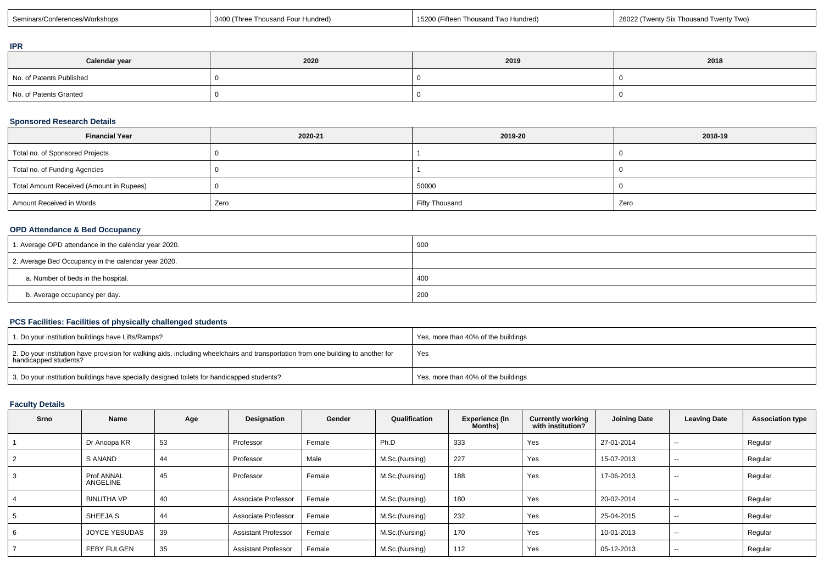| Seminars/Co<br><sup>™</sup> ∩rkshops<br>Thousand Four Hundred<br>(Three | 15200 (Fifteer,<br>' Two Hundred)<br>Thousand | 26021<br>(Twenty Six Thousand<br>Twenty Two |
|-------------------------------------------------------------------------|-----------------------------------------------|---------------------------------------------|
|-------------------------------------------------------------------------|-----------------------------------------------|---------------------------------------------|

### **IPR**

| Calendar year            | 2020 | 2019 | 2018 |
|--------------------------|------|------|------|
| No. of Patents Published |      |      |      |
| No. of Patents Granted   |      |      |      |

## **Sponsored Research Details**

| <b>Financial Year</b>                    | 2020-21 | 2019-20               | 2018-19 |
|------------------------------------------|---------|-----------------------|---------|
| Total no. of Sponsored Projects          |         |                       |         |
| Total no. of Funding Agencies            |         |                       |         |
| Total Amount Received (Amount in Rupees) |         | 50000                 |         |
| Amount Received in Words                 | Zero    | <b>Fifty Thousand</b> | Zero    |

## **OPD Attendance & Bed Occupancy**

| 1. Average OPD attendance in the calendar year 2020. | 900 |
|------------------------------------------------------|-----|
| 2. Average Bed Occupancy in the calendar year 2020.  |     |
| a. Number of beds in the hospital.                   | 400 |
| b. Average occupancy per day.                        | 200 |

### **PCS Facilities: Facilities of physically challenged students**

| 1. Do your institution buildings have Lifts/Ramps?                                                                                                         | Yes, more than 40% of the buildings |
|------------------------------------------------------------------------------------------------------------------------------------------------------------|-------------------------------------|
| 2. Do your institution have provision for walking aids, including wheelchairs and transportation from one building to another for<br>handicapped students? | Yes                                 |
| 3. Do your institution buildings have specially designed toilets for handicapped students?                                                                 | Yes, more than 40% of the buildings |

### **Faculty Details**

| <b>Srno</b> | Name                   | Age | Designation                | Gender | Qualification  | <b>Experience (In</b><br>Months) | <b>Currently working</b><br>with institution? | <b>Joining Date</b> | <b>Leaving Date</b>      | <b>Association type</b> |
|-------------|------------------------|-----|----------------------------|--------|----------------|----------------------------------|-----------------------------------------------|---------------------|--------------------------|-------------------------|
|             | Dr Anoopa KR           | 53  | Professor                  | Female | Ph.D           | 333                              | Yes                                           | 27-01-2014          | $\overline{\phantom{a}}$ | Regular                 |
|             | S ANAND                | 44  | Professor                  | Male   | M.Sc.(Nursing) | 227                              | Yes                                           | 15-07-2013          | $\sim$                   | Regular                 |
|             | Prof ANNAL<br>ANGELINE | 45  | Professor                  | Female | M.Sc.(Nursing) | 188                              | Yes                                           | 17-06-2013          | $\overline{\phantom{a}}$ | Regular                 |
|             | <b>BINUTHA VP</b>      | 40  | Associate Professor        | Female | M.Sc.(Nursing) | 180                              | Yes                                           | 20-02-2014          | $- -$                    | Regular                 |
|             | SHEEJA S               | 44  | Associate Professor        | Female | M.Sc.(Nursing) | 232                              | Yes                                           | 25-04-2015          | $\sim$                   | Regular                 |
|             | <b>JOYCE YESUDAS</b>   | 39  | <b>Assistant Professor</b> | Female | M.Sc.(Nursing) | 170                              | Yes                                           | 10-01-2013          | $-$                      | Regular                 |
|             | <b>FEBY FULGEN</b>     | 35  | <b>Assistant Professor</b> | Female | M.Sc.(Nursing) | 112                              | Yes                                           | 05-12-2013          | $\sim$                   | Regular                 |